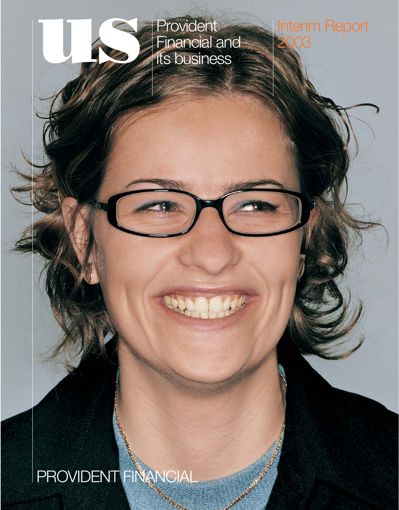

Financial and its business

# Interim Report  $C$

**PROVIDENT FINANCIAL** 

Control of Cancer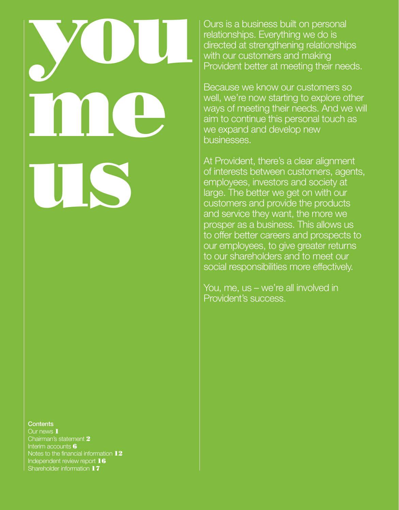# you me us

### **Contents**

Our news 1 Chairman's statement 2 Interim accounts **6** Notes to the financial information 12 Independent review report 16 Shareholder information 17

Ours is a business built on personal relationships. Everything we do is directed at strengthening relationships with our customers and making Provident better at meeting their needs.

Because we know our customers so well, we're now starting to explore other ways of meeting their needs. And we will aim to continue this personal touch as we expand and develop new businesses.

At Provident, there's a clear alignment of interests between customers, agents, employees, investors and society at large. The better we get on with our customers and provide the products and service they want, the more we prosper as a business. This allows us to offer better careers and prospects to our employees, to give greater returns to our shareholders and to meet our social responsibilities more effectively.

You, me, us – we're all involved in Provident's success.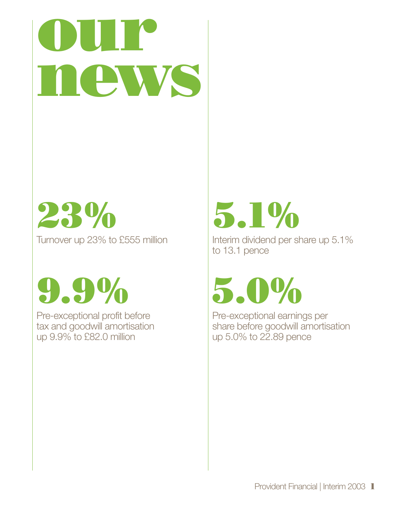

23% Turnover up 23% to £555 million

9.9%

Pre-exceptional profit before tax and goodwill amortisation up 9.9% to £82.0 million



Interim dividend per share up 5.1% to 13.1 pence

5.0%

Pre-exceptional earnings per share before goodwill amortisation up 5.0% to 22.89 pence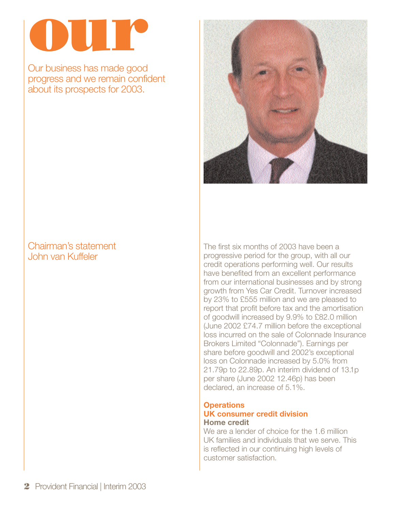

Our business has made good progress and we remain confident about its prospects for 2003.

# Chairman's statement John van Kuffeler



The first six months of 2003 have been a progressive period for the group, with all our credit operations performing well. Our results have benefited from an excellent performance from our international businesses and by strong growth from Yes Car Credit. Turnover increased by 23% to £555 million and we are pleased to report that profit before tax and the amortisation of goodwill increased by 9.9% to £82.0 million (June 2002 £74.7 million before the exceptional loss incurred on the sale of Colonnade Insurance Brokers Limited "Colonnade"). Earnings per share before goodwill and 2002's exceptional loss on Colonnade increased by 5.0% from 21.79p to 22.89p. An interim dividend of 13.1p per share (June 2002 12.46p) has been declared, an increase of 5.1%.

### **Operations UK consumer credit division Home credit**

We are a lender of choice for the 1.6 million UK families and individuals that we serve. This is reflected in our continuing high levels of customer satisfaction.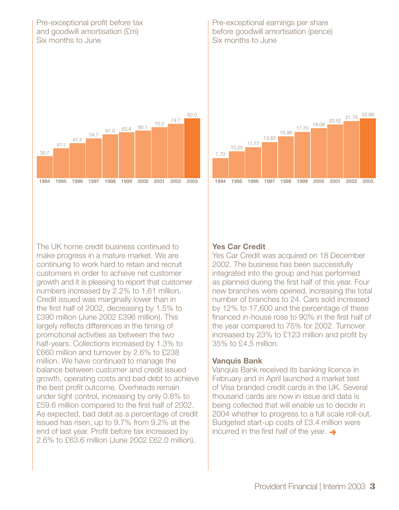### Pre-exceptional profit before tax and goodwill amortisation (£m) Six months to June



The UK home credit business continued to make progress in a mature market. We are continuing to work hard to retain and recruit customers in order to achieve net customer growth and it is pleasing to report that customer numbers increased by 2.2% to 1.61 million. Credit issued was marginally lower than in the first half of 2002, decreasing by 1.5% to £390 million (June 2002 £396 million). This largely reflects differences in the timing of promotional activities as between the two half-years. Collections increased by 1.3% to £660 million and turnover by 2.6% to £238 million. We have continued to manage the balance between customer and credit issued growth, operating costs and bad debt to achieve the best profit outcome. Overheads remain under tight control, increasing by only 0.8% to £59.6 million compared to the first half of 2002. As expected, bad debt as a percentage of credit issued has risen, up to 9.7% from 9.2% at the end of last year. Profit before tax increased by 2.6% to £63.6 million (June 2002 £62.0 million).

Pre-exceptional earnings per share before goodwill amortisation (pence) Six months to June



# **Yes Car Credit**

Yes Car Credit was acquired on 18 December 2002. The business has been successfully integrated into the group and has performed as planned during the first half of this year. Four new branches were opened, increasing the total number of branches to 24. Cars sold increased by 12% to 17,600 and the percentage of these financed in-house rose to 90% in the first half of the year compared to 75% for 2002. Turnover increased by 23% to £123 million and profit by 35% to £4.5 million.

# **Vanquis Bank**

Vanquis Bank received its banking licence in February and in April launched a market test of Visa branded credit cards in the UK. Several thousand cards are now in issue and data is being collected that will enable us to decide in 2004 whether to progress to a full scale roll-out. Budgeted start-up costs of £3.4 million were incurred in the first half of the year.  $\rightarrow$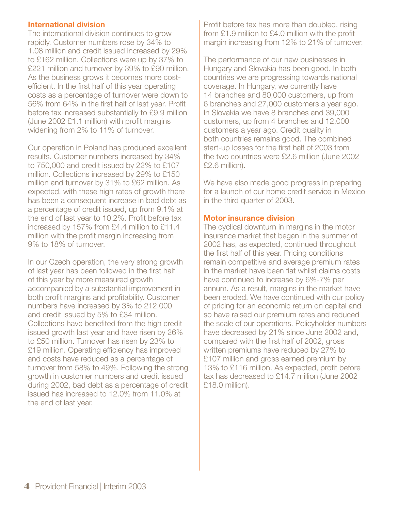### **International division**

The international division continues to grow rapidly. Customer numbers rose by 34% to 1.08 million and credit issued increased by 29% to £162 million. Collections were up by 37% to £221 million and turnover by 39% to £90 million. As the business grows it becomes more costefficient. In the first half of this year operating costs as a percentage of turnover were down to 56% from 64% in the first half of last year. Profit before tax increased substantially to £9.9 million (June 2002 £1.1 million) with profit margins widening from 2% to 11% of turnover.

Our operation in Poland has produced excellent results. Customer numbers increased by 34% to 750,000 and credit issued by 22% to £107 million. Collections increased by 29% to £150 million and turnover by 31% to £62 million. As expected, with these high rates of growth there has been a consequent increase in bad debt as a percentage of credit issued, up from 9.1% at the end of last year to 10.2%. Profit before tax increased by 157% from £4.4 million to £11.4 million with the profit margin increasing from 9% to 18% of turnover.

In our Czech operation, the very strong growth of last year has been followed in the first half of this year by more measured growth accompanied by a substantial improvement in both profit margins and profitability. Customer numbers have increased by 3% to 212,000 and credit issued by 5% to £34 million. Collections have benefited from the high credit issued growth last year and have risen by 26% to £50 million. Turnover has risen by 23% to £19 million. Operating efficiency has improved and costs have reduced as a percentage of turnover from 58% to 49%. Following the strong growth in customer numbers and credit issued during 2002, bad debt as a percentage of credit issued has increased to 12.0% from 11.0% at the end of last year.

Profit before tax has more than doubled, rising from £1.9 million to £4.0 million with the profit margin increasing from 12% to 21% of turnover.

The performance of our new businesses in Hungary and Slovakia has been good. In both countries we are progressing towards national coverage. In Hungary, we currently have 14 branches and 80,000 customers, up from 6 branches and 27,000 customers a year ago. In Slovakia we have 8 branches and 39,000 customers, up from 4 branches and 12,000 customers a year ago. Credit quality in both countries remains good. The combined start-up losses for the first half of 2003 from the two countries were £2.6 million (June 2002 £2.6 million).

We have also made good progress in preparing for a launch of our home credit service in Mexico in the third quarter of 2003.

### **Motor insurance division**

The cyclical downturn in margins in the motor insurance market that began in the summer of 2002 has, as expected, continued throughout the first half of this year. Pricing conditions remain competitive and average premium rates in the market have been flat whilst claims costs have continued to increase by 6%-7% per annum. As a result, margins in the market have been eroded. We have continued with our policy of pricing for an economic return on capital and so have raised our premium rates and reduced the scale of our operations. Policyholder numbers have decreased by 21% since June 2002 and, compared with the first half of 2002, gross written premiums have reduced by 27% to £107 million and gross earned premium by 13% to £116 million. As expected, profit before tax has decreased to £14.7 million (June 2002 £18.0 million).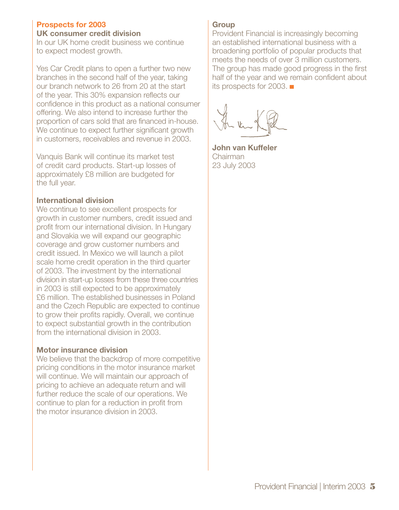# **Prospects for 2003**

### **UK consumer credit division**

In our UK home credit business we continue to expect modest growth.

Yes Car Credit plans to open a further two new branches in the second half of the year, taking our branch network to 26 from 20 at the start of the year. This 30% expansion reflects our confidence in this product as a national consumer offering. We also intend to increase further the proportion of cars sold that are financed in-house. We continue to expect further significant growth in customers, receivables and revenue in 2003.

Vanquis Bank will continue its market test of credit card products. Start-up losses of approximately £8 million are budgeted for the full year.

# **International division**

We continue to see excellent prospects for growth in customer numbers, credit issued and profit from our international division. In Hungary and Slovakia we will expand our geographic coverage and grow customer numbers and credit issued. In Mexico we will launch a pilot scale home credit operation in the third quarter of 2003. The investment by the international division in start-up losses from these three countries in 2003 is still expected to be approximately £6 million. The established businesses in Poland and the Czech Republic are expected to continue to grow their profits rapidly. Overall, we continue to expect substantial growth in the contribution from the international division in 2003.

# **Motor insurance division**

We believe that the backdrop of more competitive pricing conditions in the motor insurance market will continue. We will maintain our approach of pricing to achieve an adequate return and will further reduce the scale of our operations. We continue to plan for a reduction in profit from the motor insurance division in 2003.

### **Group**

Provident Financial is increasingly becoming an established international business with a broadening portfolio of popular products that meets the needs of over 3 million customers. The group has made good progress in the first half of the year and we remain confident about its prospects for 2003.

**John van Kuffeler** Chairman 23 July 2003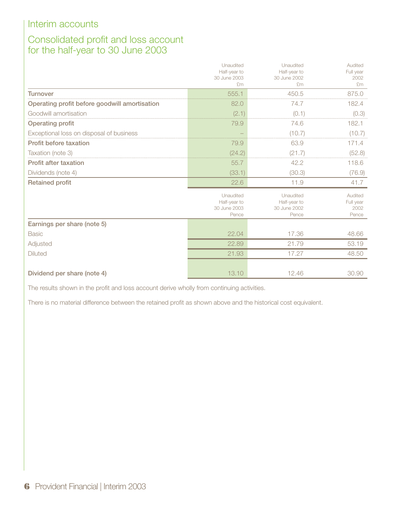# Consolidated profit and loss account for the half-year to 30 June 2003

|                                               | Unaudited<br>Half-year to<br>30 June 2003<br>£m    | Unaudited<br>Half-year to<br>30 June 2002<br>£m    | Audited<br>Full year<br>2002<br>Em    |
|-----------------------------------------------|----------------------------------------------------|----------------------------------------------------|---------------------------------------|
| <b>Turnover</b>                               | 555.1                                              | 450.5                                              | 875.0                                 |
| Operating profit before goodwill amortisation | 82.0                                               | 74.7                                               | 182.4                                 |
| Goodwill amortisation                         | (2.1)                                              | (0.1)                                              | (0.3)                                 |
| <b>Operating profit</b>                       | 79.9                                               | 74.6                                               | 182.1                                 |
| Exceptional loss on disposal of business      |                                                    | (10.7)                                             | (10.7)                                |
| Profit before taxation                        | 79.9                                               | 63.9                                               | 171.4                                 |
| Taxation (note 3)                             | (24.2)                                             | (21.7)                                             | (52.8)                                |
| <b>Profit after taxation</b>                  | 55.7                                               | 42.2                                               | 118.6                                 |
| Dividends (note 4)                            | (33.1)                                             | (30.3)                                             | (76.9)                                |
| <b>Retained profit</b>                        | 22.6                                               | 11.9                                               | 41.7                                  |
|                                               | Unaudited<br>Half-year to<br>30 June 2003<br>Pence | Unaudited<br>Half-year to<br>30 June 2002<br>Pence | Audited<br>Full year<br>2002<br>Pence |
| Earnings per share (note 5)                   |                                                    |                                                    |                                       |
| <b>Basic</b>                                  | 22.04                                              | 17.36                                              | 48.66                                 |
| Adjusted                                      | 22.89                                              | 21.79                                              | 53.19                                 |
| <b>Diluted</b>                                | 21.93                                              | 17.27                                              | 48.50                                 |
| Dividend per share (note 4)                   | 13.10                                              | 12.46                                              | 30.90                                 |

The results shown in the profit and loss account derive wholly from continuing activities.

There is no material difference between the retained profit as shown above and the historical cost equivalent.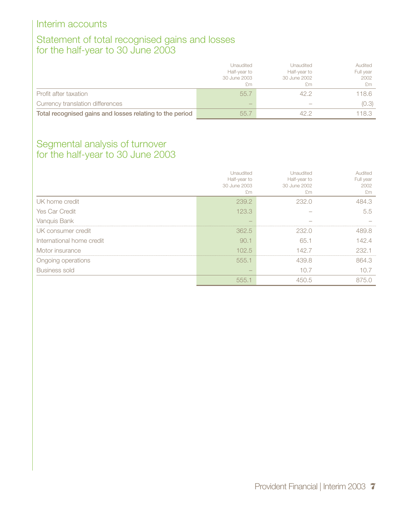# Statement of total recognised gains and losses for the half-year to 30 June 2003

|                                                          | <b>Unaudited</b><br>Half-year to<br>30 June 2003<br>£m | Unaudited<br>Half-year to<br>30 June 2002<br>£m | Audited<br>Full year<br>2002<br>£m |
|----------------------------------------------------------|--------------------------------------------------------|-------------------------------------------------|------------------------------------|
| Profit after taxation                                    | 55.7                                                   | 42.2                                            | 118.6                              |
| Currency translation differences                         | $\overline{\phantom{a}}$                               |                                                 | (0.3)                              |
| Total recognised gains and losses relating to the period | 55.7                                                   | 42 D                                            | 118.3                              |

# Segmental analysis of turnover for the half-year to 30 June 2003

|                           | Unaudited<br>Half-year to<br>30 June 2003<br>£'m | <b>Jnaudited</b><br>Half-year to<br>30 June 2002<br>£m | Audited<br>Full year<br>2002<br>£m |
|---------------------------|--------------------------------------------------|--------------------------------------------------------|------------------------------------|
| UK home credit            | 239.2                                            | 232.0                                                  | 484 3                              |
| Yes Car Credit            | 123.3                                            |                                                        | 5.5                                |
| Vanquis Bank              |                                                  |                                                        |                                    |
| UK consumer credit        | 362.5                                            | 232.0                                                  | 489.8                              |
| International home credit | 90.1                                             | 65.1                                                   | 42.4                               |
| Motor insurance           | 102.5                                            | 42 7                                                   | 232.1                              |
| Ongoing operations        | 555.1                                            | 439.8                                                  | 864.3                              |
| <b>Business sold</b>      |                                                  | 10.7                                                   | 10.7                               |
|                           | 555.1                                            |                                                        | (5)                                |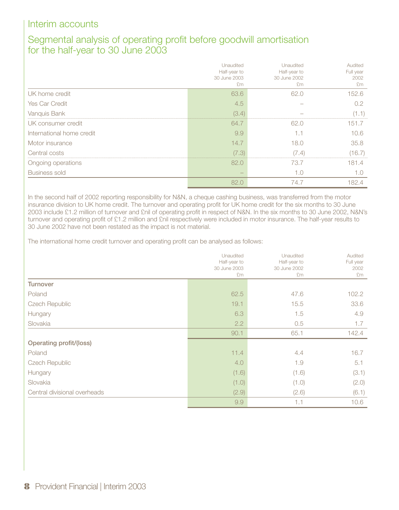# Segmental analysis of operating profit before goodwill amortisation for the half-year to 30 June 2003

|                           | Unaudited<br>Half-year to<br>30 June 2003<br>£m | Unaudited<br>Half-year to<br>30 June 2002<br>£m | Audited<br>Full year<br>2002<br>£m |
|---------------------------|-------------------------------------------------|-------------------------------------------------|------------------------------------|
| UK home credit            | 63.6                                            | 62.0                                            | 152.6                              |
| Yes Car Credit            | 4.5                                             |                                                 |                                    |
| Vanquis Bank              | (3.4)                                           |                                                 |                                    |
| UK consumer credit        | 64.7                                            | 62.0                                            | 151.7                              |
| International home credit | 9.9                                             |                                                 | 106                                |
| Motor insurance           | 14.7                                            | 18.0                                            | 35.8                               |
| Central costs             | (7.3)                                           | 7.4)                                            | (16.7)                             |
| Ongoing operations        | 82.0                                            | 73.7                                            | 1814                               |
| <b>Business sold</b>      |                                                 | 1.O                                             |                                    |
|                           | 82.0                                            | 74.7                                            | 82.4                               |

In the second half of 2002 reporting responsibility for N&N, a cheque cashing business, was transferred from the motor insurance division to UK home credit. The turnover and operating profit for UK home credit for the six months to 30 June 2003 include £1.2 million of turnover and £nil of operating profit in respect of N&N. In the six months to 30 June 2002, N&N's turnover and operating profit of £1.2 million and £nil respectively were included in motor insurance. The half-year results to 30 June 2002 have not been restated as the impact is not material.

The international home credit turnover and operating profit can be analysed as follows:

|                              | Unaudited<br>Half-year to<br>30 June 2003<br>£m | Unaudited<br>Half-year to<br>30 June 2002<br>£m | Audited<br>Full year<br>2002<br>£m |
|------------------------------|-------------------------------------------------|-------------------------------------------------|------------------------------------|
| <b>Turnover</b>              |                                                 |                                                 |                                    |
| Poland                       | 62.5                                            | 47.6                                            | 102.2                              |
| <b>Czech Republic</b>        | 19.1                                            | 15.5                                            | 33.6                               |
| Hungary                      | 6.3                                             | 1.5                                             | 4.9                                |
| Slovakia                     | 2.2                                             | 0.5                                             | 1.7                                |
|                              | 90.1                                            | 65.1                                            | 142.4                              |
| Operating profit/(loss)      |                                                 |                                                 |                                    |
| Poland                       | 11.4                                            | 4.4                                             | 16.7                               |
| <b>Czech Republic</b>        | 4.0                                             | 1.9                                             | 5.1                                |
| Hungary                      | (1.6)                                           | (1.6)                                           | (3.1)                              |
| Slovakia                     | (1.0)                                           | (1.0)                                           | (2.0)                              |
| Central divisional overheads | (2.9)                                           | (2.6)                                           | (6.1)                              |
|                              | 9.9                                             | 1.1                                             | 10.6                               |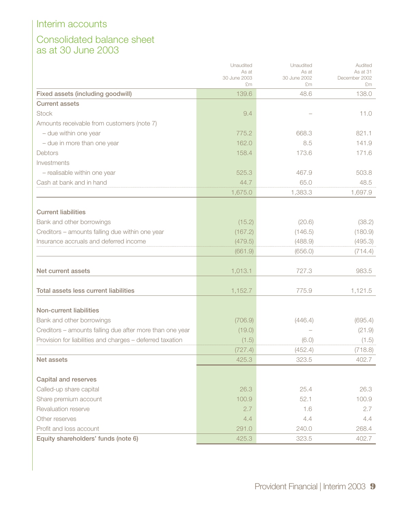# Consolidated balance sheet as at 30 June 2003

|                                                           | Unaudited             | Unaudited             | Audited                   |
|-----------------------------------------------------------|-----------------------|-----------------------|---------------------------|
|                                                           | As at<br>30 June 2003 | As at<br>30 June 2002 | As at 31<br>December 2002 |
|                                                           | £m                    | £m                    | £m                        |
| Fixed assets (including goodwill)                         | 139.6                 | 48.6                  | 138.0                     |
| <b>Current assets</b>                                     |                       |                       |                           |
| <b>Stock</b>                                              | 9.4                   |                       | 11.0                      |
| Amounts receivable from customers (note 7)                |                       |                       |                           |
| - due within one year                                     | 775.2                 | 668.3                 | 821.1                     |
| - due in more than one year                               | 162.0                 | 8.5                   | 141.9                     |
| Debtors                                                   | 158.4                 | 173.6                 | 171.6                     |
| Investments                                               |                       |                       |                           |
| - realisable within one year                              | 525.3                 | 467.9                 | 503.8                     |
| Cash at bank and in hand                                  | 44.7                  | 65.0                  | 48.5                      |
|                                                           | 1,675.0               | 1,383.3               | 1,697.9                   |
|                                                           |                       |                       |                           |
| <b>Current liabilities</b>                                |                       |                       |                           |
| Bank and other borrowings                                 | (15.2)                | (20.6)                | (38.2)                    |
| Creditors - amounts falling due within one year           | (167.2)               | (146.5)               | (180.9)                   |
| Insurance accruals and deferred income                    | (479.5)               | (488.9)               | (495.3)                   |
|                                                           | (661.9)               | (656.0)               | (714.4)                   |
|                                                           |                       |                       |                           |
| Net current assets                                        | 1,013.1               | 727.3                 | 983.5                     |
|                                                           |                       |                       |                           |
| Total assets less current liabilities                     | 1,152.7               | 775.9                 | 1,121.5                   |
| <b>Non-current liabilities</b>                            |                       |                       |                           |
| Bank and other borrowings                                 | (706.9)               | (446.4)               | (695.4)                   |
| Creditors - amounts falling due after more than one year  | (19.0)                |                       | (21.9)                    |
| Provision for liabilities and charges - deferred taxation | (1.5)                 | (6.0)                 | (1.5)                     |
|                                                           | (727.4)               | (452.4)               | (718.8)                   |
| Net assets                                                | 425.3                 | 323.5                 | 402.7                     |
|                                                           |                       |                       |                           |
| Capital and reserves                                      |                       |                       |                           |
| Called-up share capital                                   | 26.3                  | 25.4                  | 26.3                      |
| Share premium account                                     | 100.9                 | 52.1                  | 100.9                     |
| Revaluation reserve                                       | 2.7                   | 1.6                   | 2.7                       |
| Other reserves                                            | 4.4                   | 4.4                   | 4.4                       |
| Profit and loss account                                   | 291.0                 | 240.0                 | 268.4                     |
| Equity shareholders' funds (note 6)                       | 425.3                 | 323.5                 | 402.7                     |
|                                                           |                       |                       |                           |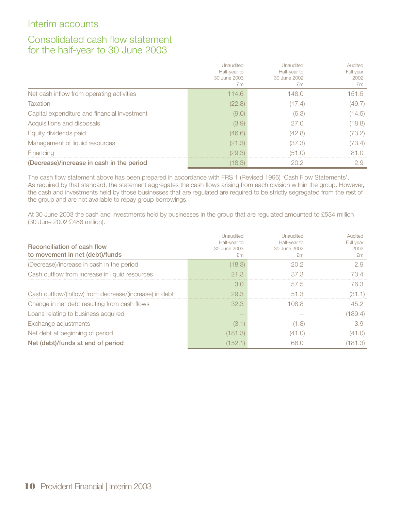# Consolidated cash flow statement for the half-year to 30 June 2003

|                                              | Unaudited<br>Half-year to<br>30 June 2003<br>£m | Unaudited<br>Half-year to<br>30 June 2002<br>£m | Audited<br>Full year<br>2002<br>£m |
|----------------------------------------------|-------------------------------------------------|-------------------------------------------------|------------------------------------|
| Net cash inflow from operating activities    | 114.6                                           | 148.0                                           | 151.5                              |
| Taxation                                     | (22.8)                                          | 1(0.4)                                          | (49.7)                             |
| Capital expenditure and financial investment | (9.0)                                           | (6.3)                                           | (14.5)                             |
| Acquisitions and disposals                   | (3.9)                                           | 27.0                                            | (18.8)                             |
| Equity dividends paid                        | (46.6)                                          | (42.8)                                          | (73.2)                             |
| Management of liquid resources               | (21.3)                                          | (37.3)                                          | (73.4)                             |
| Financing                                    | (29.3)                                          |                                                 |                                    |
| (Decrease)/increase in cash in the period    | 18.3)                                           |                                                 |                                    |

The cash flow statement above has been prepared in accordance with FRS 1 (Revised 1996) 'Cash Flow Statements'. As required by that standard, the statement aggregates the cash flows arising from each division within the group. However, the cash and investments held by those businesses that are regulated are required to be strictly segregated from the rest of the group and are not available to repay group borrowings.

At 30 June 2003 the cash and investments held by businesses in the group that are regulated amounted to £534 million (30 June 2002 £486 million).

| <b>Reconciliation of cash flow</b><br>to movement in net (debt)/funds | Unaudited<br>Half-year to<br>30 June 2003<br>£m | <b>Unaudited</b><br>Half-year to<br>30 June 2002<br>£m | Audited<br>Full year<br>2002<br>$+1m$ |
|-----------------------------------------------------------------------|-------------------------------------------------|--------------------------------------------------------|---------------------------------------|
| (Decrease)/increase in cash in the period                             | (18.3)                                          | 20.2                                                   | 2.9                                   |
| Cash outflow from increase in liquid resources                        | 21.3                                            | 37 S                                                   | 73 4                                  |
|                                                                       | 3.0                                             | 57.5                                                   | 76.3.                                 |
| Cash outflow/(inflow) from decrease/(increase) in debt                | 29.3                                            | 51.3                                                   | '31                                   |
| Change in net debt resulting from cash flows                          | 32.3                                            | 108.8                                                  | 45.2                                  |
| Loans relating to business acquired                                   |                                                 |                                                        | .189.4)                               |
| Exchange adjustments                                                  | (3.1                                            | 1.8)                                                   | 3.9                                   |
| Net debt at beginning of period                                       | (181.3)                                         | (41.0)                                                 | (41.0)                                |
| Net (debt)/funds at end of period                                     | (152.1                                          | 66 (                                                   | .81<br>I .3)                          |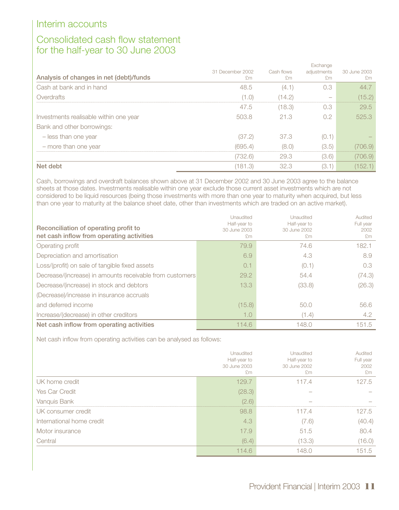# Consolidated cash flow statement for the half-year to 30 June 2003

|                                         | Exchange         |            |             |              |
|-----------------------------------------|------------------|------------|-------------|--------------|
|                                         | 31 December 2002 | Cash flows | adjustments | 30 June 2003 |
| Analysis of changes in net (debt)/funds | £m               | £m         | £m          | £m           |
| Cash at bank and in hand                | 48.5             | (4.1       | 0.3         | 44 7         |
| Overdrafts                              | 1.O)             | 14.2)      |             | (15.2)       |
|                                         | 47.5             | (18.3)     | 0.3         | 29.5         |
| Investments realisable within one year  | 503.8            | 21.3       | 0.2         | 525.3        |
| Bank and other borrowings:              |                  |            |             |              |
| - less than one year                    | (37.2)           | 37.3       | (0.1)       |              |
| - more than one year                    | (695.4)          |            | (3.5)       | 706.9)       |
|                                         | 732.6)           | 29.3       | (3.6)       | 706.9)       |
| Net debt                                | 181.3            | 32.3       | (3.1        | 52.1         |

Cash, borrowings and overdraft balances shown above at 31 December 2002 and 30 June 2003 agree to the balance sheets at those dates. Investments realisable within one year exclude those current asset investments which are not considered to be liquid resources (being those investments with more than one year to maturity when acquired, but less than one year to maturity at the balance sheet date, other than investments which are traded on an active market).

| Reconciliation of operating profit to<br>net cash inflow from operating activities | Unaudited<br>Half-year to<br>30 June 2003<br>£m | Unaudited<br>Half-year to<br>30 June 2002<br>£m | Audited<br>Full year<br>2002<br>£m |
|------------------------------------------------------------------------------------|-------------------------------------------------|-------------------------------------------------|------------------------------------|
| Operating profit                                                                   | 79.9                                            | 74.6                                            | 182.1                              |
| Depreciation and amortisation                                                      | 6.9                                             | 4.3                                             | 8.9                                |
| Loss/(profit) on sale of tangible fixed assets                                     | 0.1                                             | (0.1)                                           | 0.3                                |
| Decrease/(increase) in amounts receivable from customers                           | 29.2                                            | 54.4                                            | (74.3)                             |
| Decrease/(increase) in stock and debtors                                           | 13.3                                            | (33.8)                                          | (26.3)                             |
| (Decrease)/increase in insurance accruals                                          |                                                 |                                                 |                                    |
| and deferred income                                                                | (15.8)                                          | 50.0                                            | 56.6                               |
| Increase/(decrease) in other creditors                                             | 1.0                                             | (1.4)                                           | 4.2                                |
| Net cash inflow from operating activities                                          | 114.6                                           | 148.0                                           | 151.5                              |

Net cash inflow from operating activities can be analysed as follows:

|                           | Unaudited<br>Half-year to<br>30 June 2003<br>£m | Unaudited<br>Half-year to<br>30 June 2002<br>£m | Audited<br>Full year<br>2002<br>£m |
|---------------------------|-------------------------------------------------|-------------------------------------------------|------------------------------------|
| UK home credit            | 129.7                                           | 117.4                                           | 127.5                              |
| Yes Car Credit            | (28.3)                                          |                                                 |                                    |
| Vanquis Bank              | (2.6)                                           |                                                 |                                    |
| UK consumer credit        | 98.8                                            | 117.4                                           | 127.5                              |
| International home credit | 4.3                                             | (7.6)                                           | (40.4)                             |
| Motor insurance           | 17.9                                            | 51.5                                            | 80.4                               |
| Central                   | (6.4)                                           | (13.3)                                          | (16.0)                             |
|                           | 14.6                                            | 481                                             | 151.5                              |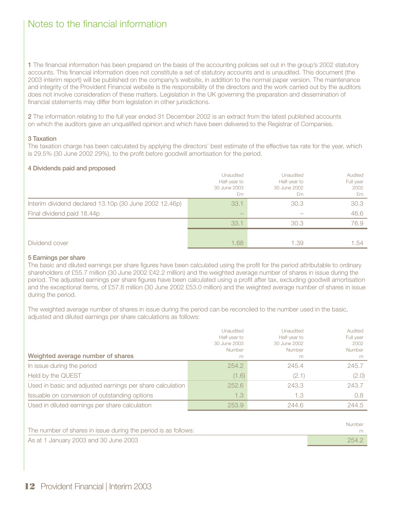**1** The financial information has been prepared on the basis of the accounting policies set out in the group's 2002 statutory accounts. This financial information does not constitute a set of statutory accounts and is unaudited. This document (the 2003 interim report) will be published on the company's website, in addition to the normal paper version. The maintenance and integrity of the Provident Financial website is the responsibility of the directors and the work carried out by the auditors does not involve consideration of these matters. Legislation in the UK governing the preparation and dissemination of financial statements may differ from legislation in other jurisdictions.

**2** The information relating to the full year ended 31 December 2002 is an extract from the latest published accounts on which the auditors gave an unqualified opinion and which have been delivered to the Registrar of Companies.

### **3 Taxation**

The taxation charge has been calculated by applying the directors' best estimate of the effective tax rate for the year, which is 29.5% (30 June 2002 29%), to the profit before goodwill amortisation for the period.

### **4 Dividends paid and proposed**

|                                                        | Unaudited<br>Half-year to<br>30 June 2003<br>£m | Unaudited<br>Half-year to<br>30 June 2002<br>£m | Audited<br>Full year<br>2002<br>£m |
|--------------------------------------------------------|-------------------------------------------------|-------------------------------------------------|------------------------------------|
| Interim dividend declared 13.10p (30 June 2002 12.46p) | 33.1                                            | 30.3                                            | 30.3                               |
| Final dividend paid 18.44p                             |                                                 |                                                 | 46.6                               |
|                                                        | 33.1                                            | 30.3                                            | 76.9                               |
|                                                        |                                                 |                                                 |                                    |
| Dividend cover                                         | 1.68                                            | 1.39                                            | 1.54                               |

### **5 Earnings per share**

The basic and diluted earnings per share figures have been calculated using the profit for the period attributable to ordinary shareholders of £55.7 million (30 June 2002 £42.2 million) and the weighted average number of shares in issue during the period. The adjusted earnings per share figures have been calculated using a profit after tax, excluding goodwill amortisation and the exceptional items, of £57.8 million (30 June 2002 £53.0 million) and the weighted average number of shares in issue during the period.

The weighted average number of shares in issue during the period can be reconciled to the number used in the basic, adjusted and diluted earnings per share calculations as follows:

| Weighted average number of shares                         | Unaudited<br>Half-year to<br>30 June 2003<br>Number<br>m | Unaudited<br>Half-year to<br>30 June 2002<br>Number<br>m | Audited<br>Full year<br>2002<br>Number<br>m |
|-----------------------------------------------------------|----------------------------------------------------------|----------------------------------------------------------|---------------------------------------------|
| In issue during the period                                | 254.2                                                    | 245.4                                                    | 245.7                                       |
| Held by the QUEST                                         | 1.6                                                      | 2.1                                                      | (2.0)                                       |
| Used in basic and adjusted earnings per share calculation | 252.6                                                    | 243.3                                                    | 243.7                                       |
| Issuable on conversion of outstanding options             | 1.3                                                      | 1.3                                                      |                                             |
| Used in diluted earnings per share calculation            | 2539                                                     | 2446                                                     | 244.5                                       |

|                                                                | Number |
|----------------------------------------------------------------|--------|
| The number of shares in issue during the period is as follows: |        |
| As at 1 January 2003 and 30 June 2003                          | 254.2  |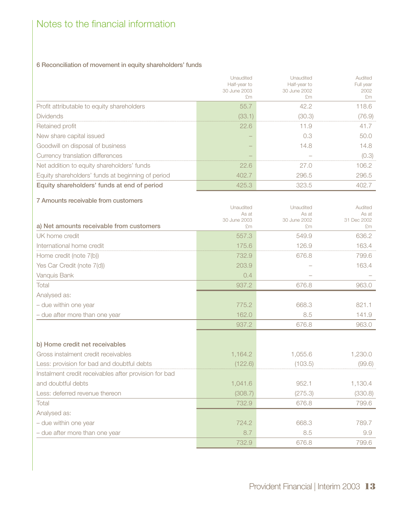## **6 Reconciliation of movement in equity shareholders' funds**

|                                                   | Unaudited<br>Half-year to<br>30 June 2003<br>£m | Unaudited<br>Half-year to<br>30 June 2002<br>£m | Audited<br>Full year<br>2002<br>£m |
|---------------------------------------------------|-------------------------------------------------|-------------------------------------------------|------------------------------------|
| Profit attributable to equity shareholders        | 55.7                                            | 42.2                                            | 118.6                              |
| <b>Dividends</b>                                  | (33.1)                                          | 30.3                                            | (76.9)                             |
| Retained profit                                   | 22.6                                            | 11.9                                            | 41.7                               |
| New share capital issued                          |                                                 | 0.3                                             | 50 $\cap$                          |
| Goodwill on disposal of business                  |                                                 | 14.8                                            | 4.8                                |
| Currency translation differences                  |                                                 |                                                 | (0.3)                              |
| Net addition to equity shareholders' funds        | 22.6                                            | 27.O                                            | 106.2                              |
| Equity shareholders' funds at beginning of period | 402.7                                           | 296.5                                           | 296.5                              |
| Equity shareholders' funds at end of period       | 425.3                                           | 323.5                                           | 402 7                              |

| 7 Amounts receivable from customers                   |                       |                       |                      |
|-------------------------------------------------------|-----------------------|-----------------------|----------------------|
|                                                       | Unaudited             | Unaudited             | Audited              |
|                                                       | As at<br>30 June 2003 | As at<br>30 June 2002 | As at<br>31 Dec 2002 |
| a) Net amounts receivable from customers              | £m                    | £m                    | £m                   |
| UK home credit                                        | 557.3                 | 549.9                 | 636.2                |
| International home credit                             | 175.6                 | 126.9                 | 163.4                |
| Home credit (note 7(b))                               | 732.9                 | 676.8                 | 799.6                |
| Yes Car Credit (note 7(d))                            | 203.9                 |                       | 163.4                |
| Vanquis Bank                                          | 0.4                   |                       |                      |
| Total                                                 | 937.2                 | 676.8                 | 963.0                |
| Analysed as:                                          |                       |                       |                      |
| - due within one year                                 | 775.2                 | 668.3                 | 821.1                |
| - due after more than one year                        | 162.0                 | 8.5                   | 141.9                |
|                                                       | 937.2                 | 676.8                 | 963.0                |
|                                                       |                       |                       |                      |
| b) Home credit net receivables                        |                       |                       |                      |
| Gross instalment credit receivables                   | 1,164.2               | 1,055.6               | 1,230.0              |
| Less: provision for bad and doubtful debts            | (122.6)               | (103.5)               | (99.6)               |
| Instalment credit receivables after provision for bad |                       |                       |                      |
| and doubtful debts                                    | 1,041.6               | 952.1                 | 1,130.4              |
| Less: deferred revenue thereon                        | (308.7)               | (275.3)               | (330.8)              |
| Total                                                 | 732.9                 | 676.8                 | 799.6                |
| Analysed as:                                          |                       |                       |                      |
| - due within one year                                 | 724.2                 | 668.3                 | 789.7                |
| - due after more than one year                        | 8.7                   | 8.5                   | 9.9                  |
|                                                       | 732.9                 | 676.8                 | 799.6                |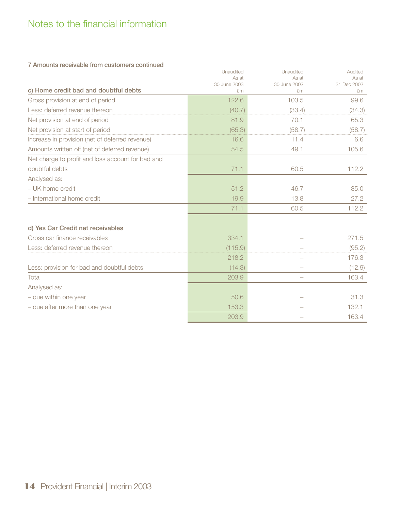### **7 Amounts receivable from customers continued**

| c) Home credit bad and doubtful debts             | Unaudited<br>As at<br>30 June 2003<br>£m | Unaudited<br>As at<br>30 June 2002<br>£m | Audited<br>As at<br>31 Dec 2002<br>£m |
|---------------------------------------------------|------------------------------------------|------------------------------------------|---------------------------------------|
| Gross provision at end of period                  | 122.6                                    | 103.5                                    | 99.6                                  |
| Less: deferred revenue thereon                    | (40.7)                                   | (33.4)                                   | (34.3)                                |
| Net provision at end of period                    | 81.9                                     | 70.1                                     | 65.3                                  |
| Net provision at start of period                  | (65.3)                                   | (58.7)                                   | (58.7)                                |
| Increase in provision (net of deferred revenue)   | 16.6                                     | 11.4                                     | 6.6                                   |
| Amounts written off (net of deferred revenue)     | 54.5                                     | 49.1                                     | 105.6                                 |
| Net charge to profit and loss account for bad and |                                          |                                          |                                       |
| doubtful debts                                    | 71.1                                     | 60.5                                     | 112.2                                 |
| Analysed as:                                      |                                          |                                          |                                       |
| - UK home credit                                  | 51.2                                     | 46.7                                     | 85.0                                  |
| - International home credit                       | 19.9                                     | 13.8                                     | 27.2                                  |
|                                                   | 71.1                                     | 60.5                                     | 112.2                                 |
| d) Yes Car Credit net receivables                 |                                          |                                          |                                       |
| Gross car finance receivables                     | 334.1                                    |                                          | 271.5                                 |
| Less: deferred revenue thereon                    | (115.9)                                  |                                          | (95.2)                                |
|                                                   | 218.2                                    |                                          | 176.3                                 |
| Less: provision for bad and doubtful debts        | (14.3)                                   | $\overline{\phantom{0}}$                 | (12.9)                                |
| Total                                             | 203.9                                    | $\overline{\phantom{0}}$                 | 163.4                                 |
| Analysed as:                                      |                                          |                                          |                                       |
| - due within one year                             | 50.6                                     |                                          | 31.3                                  |
| - due after more than one year                    | 153.3                                    |                                          | 132.1                                 |
|                                                   | 203.9                                    |                                          | 163.4                                 |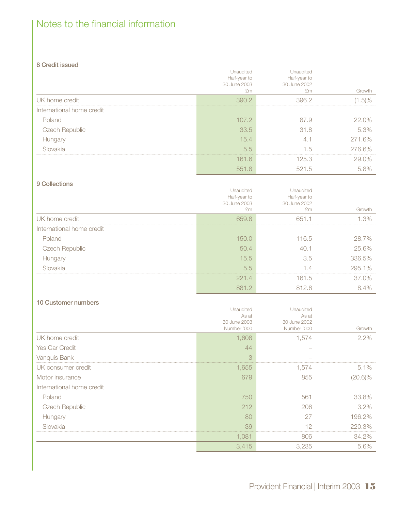### **8 Credit issued**

|                           | <b>Jnaudited</b><br>Half-year to<br>30 June 2003 | Inaudited<br>Half-year to<br>30 June 2002 | Growth                 |
|---------------------------|--------------------------------------------------|-------------------------------------------|------------------------|
| UK home credit            |                                                  |                                           | $+5$ ) <sup>0</sup> /- |
| International home credit |                                                  |                                           |                        |
| Poland                    | 107.2                                            | 87.9                                      | $22.0\%$               |
| Czech Republic            | 33.5                                             | 31.8                                      | 5.3%                   |
| Hungary                   | 15.4                                             |                                           | 271.6%                 |
| Slovakia                  | 5.5                                              | 1.5                                       | 276.6%                 |
|                           | 161.6                                            | 125.3                                     | ገ%                     |
|                           |                                                  | h                                         |                        |

### **9 Collections**

|                           | Unaudited<br>Half-year to     | Inaudited<br>Half-year to |        |
|---------------------------|-------------------------------|---------------------------|--------|
|                           | 30 June 2003<br>$+^{\circ}$ m | 30 June 2002<br>f'm       | Growth |
| UK home credit            | 659 8                         | 651 1                     |        |
| International home credit |                               |                           |        |
| Poland                    | 150 O                         | 116.5                     | 28.7%  |
| <b>Czech Republic</b>     | 50.4                          | 40                        | 25.6%  |
| Hungary                   | 15.5                          | 3.5                       | 336.5% |
| Slovakia                  | 5.5                           |                           | 295.1% |
|                           | 221.4                         | 161.5                     | 37.0%  |
|                           | 8812                          | 812 R                     |        |

### **10 Customer numbers**

|                           | Unaudited<br>As at          | Unaudited<br>As at          |            |
|---------------------------|-----------------------------|-----------------------------|------------|
|                           | 30 June 2003<br>Number '000 | 30 June 2002<br>Number '000 | Growth     |
| UK home credit            | 1,608                       | 1.574                       | $2.2\%$    |
| Yes Car Credit            | 44                          |                             |            |
| Vanquis Bank              | 3<br>                       |                             |            |
| UK consumer credit        | 1,655                       | 1,574                       | $5.1\%$    |
| Motor insurance           | 679                         | 855                         | $(20.6)\%$ |
| International home credit |                             |                             |            |
| Poland                    | 750                         | 561                         | 33.8%      |
| <b>Czech Republic</b>     | 212                         | 206                         | $3.2\%$    |
| Hungary                   | 80                          | 27                          | 196.2%     |
| Slovakia                  | 39                          |                             | 220.3%     |
|                           | 1,081                       | 806                         | 34.2%      |
|                           | 3,415                       | 3,235                       | 5.6%       |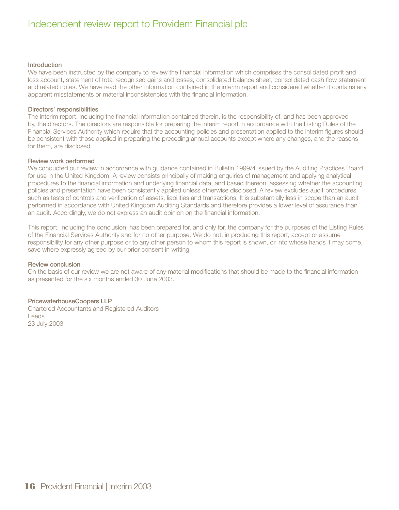# Independent review report to Provident Financial plc

### **Introduction**

We have been instructed by the company to review the financial information which comprises the consolidated profit and loss account, statement of total recognised gains and losses, consolidated balance sheet, consolidated cash flow statement and related notes. We have read the other information contained in the interim report and considered whether it contains any apparent misstatements or material inconsistencies with the financial information.

### **Directors' responsibilities**

The interim report, including the financial information contained therein, is the responsibility of, and has been approved by, the directors. The directors are responsible for preparing the interim report in accordance with the Listing Rules of the Financial Services Authority which require that the accounting policies and presentation applied to the interim figures should be consistent with those applied in preparing the preceding annual accounts except where any changes, and the reasons for them, are disclosed.

### **Review work performed**

We conducted our review in accordance with guidance contained in Bulletin 1999/4 issued by the Auditing Practices Board for use in the United Kingdom. A review consists principally of making enquiries of management and applying analytical procedures to the financial information and underlying financial data, and based thereon, assessing whether the accounting policies and presentation have been consistently applied unless otherwise disclosed. A review excludes audit procedures such as tests of controls and verification of assets, liabilities and transactions. It is substantially less in scope than an audit performed in accordance with United Kingdom Auditing Standards and therefore provides a lower level of assurance than an audit. Accordingly, we do not express an audit opinion on the financial information.

This report, including the conclusion, has been prepared for, and only for, the company for the purposes of the Listing Rules of the Financial Services Authority and for no other purpose. We do not, in producing this report, accept or assume responsibility for any other purpose or to any other person to whom this report is shown, or into whose hands it may come, save where expressly agreed by our prior consent in writing.

### **Review conclusion**

On the basis of our review we are not aware of any material modifications that should be made to the financial information as presented for the six months ended 30 June 2003.

### **PricewaterhouseCoopers LLP**

Chartered Accountants and Registered Auditors Leeds 23 July 2003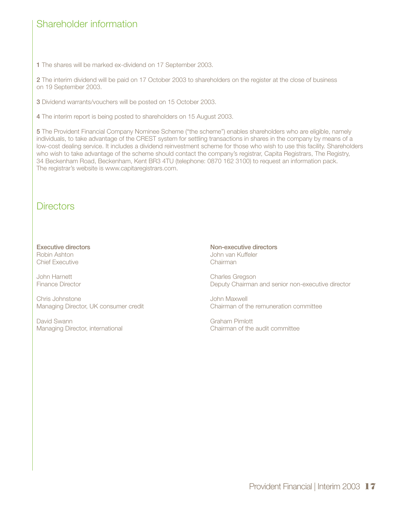# Shareholder information

**1** The shares will be marked ex-dividend on 17 September 2003.

**2** The interim dividend will be paid on 17 October 2003 to shareholders on the register at the close of business on 19 September 2003.

**3** Dividend warrants/vouchers will be posted on 15 October 2003.

**4** The interim report is being posted to shareholders on 15 August 2003.

**5** The Provident Financial Company Nominee Scheme ("the scheme") enables shareholders who are eligible, namely individuals, to take advantage of the CREST system for settling transactions in shares in the company by means of a low-cost dealing service. It includes a dividend reinvestment scheme for those who wish to use this facility. Shareholders who wish to take advantage of the scheme should contact the company's registrar, Capita Registrars, The Registry, 34 Beckenham Road, Beckenham, Kent BR3 4TU (telephone: 0870 162 3100) to request an information pack. The registrar's website is www.capitaregistrars.com.

# **Directors**

**Executive directors** Robin Ashton Chief Executive

John Harnett Finance Director

Chris Johnstone Managing Director, UK consumer credit

David Swann Managing Director, international **Non-executive directors** John van Kuffeler Chairman

Charles Gregson Deputy Chairman and senior non-executive director

John Maxwell Chairman of the remuneration committee

Graham Pimlott Chairman of the audit committee